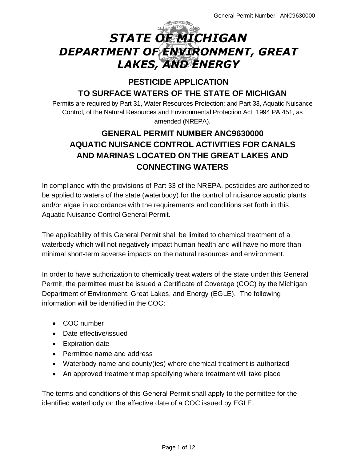# *STATE OF MICHIGAN DEPARTMENT OF ENVIRONMENT, GREAT LAKES, AND ENERGY*

# **PESTICIDE APPLICATION TO SURFACE WATERS OF THE STATE OF MICHIGAN**

Permits are required by Part 31, Water Resources Protection; and Part 33, Aquatic Nuisance Control, of the Natural Resources and Environmental Protection Act, 1994 PA 451, as amended (NREPA).

# **GENERAL PERMIT NUMBER ANC9630000 AQUATIC NUISANCE CONTROL ACTIVITIES FOR CANALS AND MARINAS LOCATED ON THE GREAT LAKES AND CONNECTING WATERS**

In compliance with the provisions of Part 33 of the NREPA, pesticides are authorized to be applied to waters of the state (waterbody) for the control of nuisance aquatic plants and/or algae in accordance with the requirements and conditions set forth in this Aquatic Nuisance Control General Permit.

The applicability of this General Permit shall be limited to chemical treatment of a waterbody which will not negatively impact human health and will have no more than minimal short-term adverse impacts on the natural resources and environment.

In order to have authorization to chemically treat waters of the state under this General Permit, the permittee must be issued a Certificate of Coverage (COC) by the Michigan Department of Environment, Great Lakes, and Energy (EGLE). The following information will be identified in the COC:

- COC number
- Date effective/issued
- Expiration date
- Permittee name and address
- Waterbody name and county(ies) where chemical treatment is authorized
- An approved treatment map specifying where treatment will take place

The terms and conditions of this General Permit shall apply to the permittee for the identified waterbody on the effective date of a COC issued by EGLE.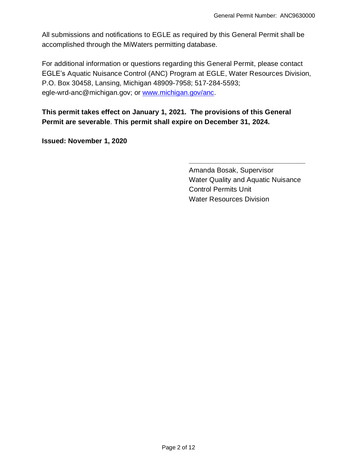All submissions and notifications to EGLE as required by this General Permit shall be accomplished through the MiWaters permitting database.

For additional information or questions regarding this General Permit, please contact EGLE's Aquatic Nuisance Control (ANC) Program at EGLE, Water Resources Division, P.O. Box 30458, Lansing, Michigan 48909-7958; 517-284-5593; egle-wrd-anc@michigan.gov; or [www.michigan.gov/anc.](http://www.michigan.gov/anc)

**This permit takes effect on January 1, 2021. The provisions of this General Permit are severable**. **This permit shall expire on December 31, 2024.**

**Issued: November 1, 2020**

Amanda Bosak, Supervisor Water Quality and Aquatic Nuisance Control Permits Unit Water Resources Division

**\_\_\_\_\_\_\_\_\_\_\_\_\_\_\_\_\_\_\_\_\_\_\_\_\_\_\_\_\_\_**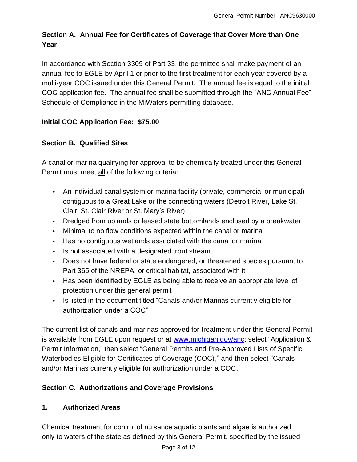# **Section A. Annual Fee for Certificates of Coverage that Cover More than One Year**

In accordance with Section 3309 of Part 33, the permittee shall make payment of an annual fee to EGLE by April 1 or prior to the first treatment for each year covered by a multi-year COC issued under this General Permit. The annual fee is equal to the initial COC application fee. The annual fee shall be submitted through the "ANC Annual Fee" Schedule of Compliance in the MiWaters permitting database.

# **Initial COC Application Fee: \$75.00**

# **Section B. Qualified Sites**

A canal or marina qualifying for approval to be chemically treated under this General Permit must meet all of the following criteria:

- An individual canal system or marina facility (private, commercial or municipal) contiguous to a Great Lake or the connecting waters (Detroit River, Lake St. Clair, St. Clair River or St. Mary's River)
- Dredged from uplands or leased state bottomlands enclosed by a breakwater
- Minimal to no flow conditions expected within the canal or marina
- Has no contiguous wetlands associated with the canal or marina
- Is not associated with a designated trout stream
- Does not have federal or state endangered, or threatened species pursuant to Part 365 of the NREPA, or critical habitat, associated with it
- Has been identified by EGLE as being able to receive an appropriate level of protection under this general permit
- Is listed in the document titled "Canals and/or Marinas currently eligible for authorization under a COC"

The current list of canals and marinas approved for treatment under this General Permit is available from EGLE upon request or at [www.michigan.gov/anc;](http://www.michigan.gov/anc) select "Application & Permit Information," then select "General Permits and Pre-Approved Lists of Specific Waterbodies Eligible for Certificates of Coverage (COC)," and then select "Canals and/or Marinas currently eligible for authorization under a COC."

# **Section C. Authorizations and Coverage Provisions**

#### **1. Authorized Areas**

Chemical treatment for control of nuisance aquatic plants and algae is authorized only to waters of the state as defined by this General Permit, specified by the issued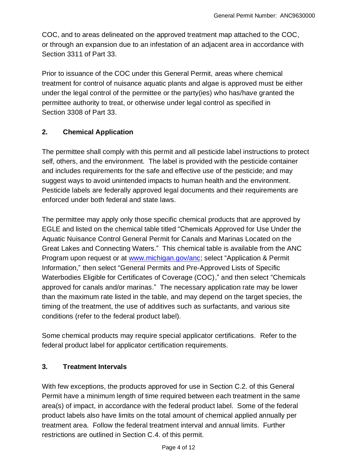COC, and to areas delineated on the approved treatment map attached to the COC, or through an expansion due to an infestation of an adjacent area in accordance with Section 3311 of Part 33.

Prior to issuance of the COC under this General Permit, areas where chemical treatment for control of nuisance aquatic plants and algae is approved must be either under the legal control of the permittee or the party(ies) who has/have granted the permittee authority to treat, or otherwise under legal control as specified in Section 3308 of Part 33.

#### **2. Chemical Application**

The permittee shall comply with this permit and all pesticide label instructions to protect self, others, and the environment. The label is provided with the pesticide container and includes requirements for the safe and effective use of the pesticide; and may suggest ways to avoid unintended impacts to human health and the environment. Pesticide labels are federally approved legal documents and their requirements are enforced under both federal and state laws.

The permittee may apply only those specific chemical products that are approved by EGLE and listed on the chemical table titled "Chemicals Approved for Use Under the Aquatic Nuisance Control General Permit for Canals and Marinas Located on the Great Lakes and Connecting Waters." This chemical table is available from the ANC Program upon request or at [www.michigan.gov/anc;](http://www.michigan.gov/anc) select "Application & Permit Information," then select "General Permits and Pre-Approved Lists of Specific Waterbodies Eligible for Certificates of Coverage (COC)," and then select "Chemicals approved for canals and/or marinas." The necessary application rate may be lower than the maximum rate listed in the table, and may depend on the target species, the timing of the treatment, the use of additives such as surfactants, and various site conditions (refer to the federal product label).

Some chemical products may require special applicator certifications. Refer to the federal product label for applicator certification requirements.

#### **3. Treatment Intervals**

With few exceptions, the products approved for use in Section C.2. of this General Permit have a minimum length of time required between each treatment in the same area(s) of impact, in accordance with the federal product label. Some of the federal product labels also have limits on the total amount of chemical applied annually per treatment area. Follow the federal treatment interval and annual limits. Further restrictions are outlined in Section C.4. of this permit.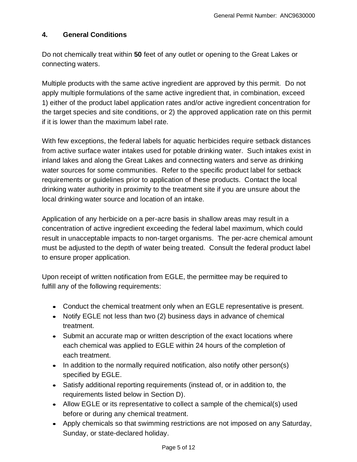#### **4. General Conditions**

Do not chemically treat within **50** feet of any outlet or opening to the Great Lakes or connecting waters.

Multiple products with the same active ingredient are approved by this permit. Do not apply multiple formulations of the same active ingredient that, in combination, exceed 1) either of the product label application rates and/or active ingredient concentration for the target species and site conditions, or 2) the approved application rate on this permit if it is lower than the maximum label rate.

With few exceptions, the federal labels for aquatic herbicides require setback distances from active surface water intakes used for potable drinking water. Such intakes exist in inland lakes and along the Great Lakes and connecting waters and serve as drinking water sources for some communities. Refer to the specific product label for setback requirements or guidelines prior to application of these products. Contact the local drinking water authority in proximity to the treatment site if you are unsure about the local drinking water source and location of an intake.

Application of any herbicide on a per-acre basis in shallow areas may result in a concentration of active ingredient exceeding the federal label maximum, which could result in unacceptable impacts to non-target organisms. The per-acre chemical amount must be adjusted to the depth of water being treated. Consult the federal product label to ensure proper application.

Upon receipt of written notification from EGLE, the permittee may be required to fulfill any of the following requirements:

- Conduct the chemical treatment only when an EGLE representative is present.
- Notify EGLE not less than two (2) business days in advance of chemical treatment.
- Submit an accurate map or written description of the exact locations where each chemical was applied to EGLE within 24 hours of the completion of each treatment.
- In addition to the normally required notification, also notify other person(s) specified by EGLE.
- Satisfy additional reporting requirements (instead of, or in addition to, the requirements listed below in Section D).
- Allow EGLE or its representative to collect a sample of the chemical(s) used before or during any chemical treatment.
- Apply chemicals so that swimming restrictions are not imposed on any Saturday, Sunday, or state-declared holiday.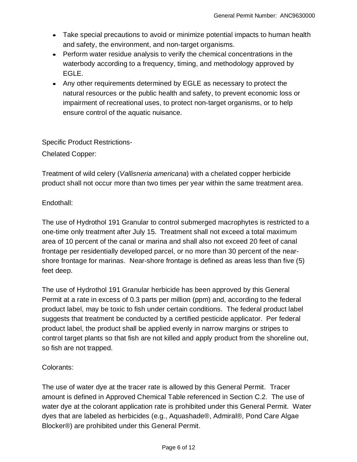- Take special precautions to avoid or minimize potential impacts to human health and safety, the environment, and non-target organisms.
- Perform water residue analysis to verify the chemical concentrations in the waterbody according to a frequency, timing, and methodology approved by EGLE.
- Any other requirements determined by EGLE as necessary to protect the natural resources or the public health and safety, to prevent economic loss or impairment of recreational uses, to protect non-target organisms, or to help ensure control of the aquatic nuisance.

Specific Product Restrictions-Chelated Copper:

Treatment of wild celery (*Vallisneria americana*) with a chelated copper herbicide product shall not occur more than two times per year within the same treatment area.

Endothall:

The use of Hydrothol 191 Granular to control submerged macrophytes is restricted to a one-time only treatment after July 15. Treatment shall not exceed a total maximum area of 10 percent of the canal or marina and shall also not exceed 20 feet of canal frontage per residentially developed parcel, or no more than 30 percent of the nearshore frontage for marinas. Near-shore frontage is defined as areas less than five (5) feet deep.

The use of Hydrothol 191 Granular herbicide has been approved by this General Permit at a rate in excess of 0.3 parts per million (ppm) and, according to the federal product label, may be toxic to fish under certain conditions. The federal product label suggests that treatment be conducted by a certified pesticide applicator. Per federal product label, the product shall be applied evenly in narrow margins or stripes to control target plants so that fish are not killed and apply product from the shoreline out, so fish are not trapped.

#### Colorants:

The use of water dye at the tracer rate is allowed by this General Permit. Tracer amount is defined in Approved Chemical Table referenced in Section C.2. The use of water dye at the colorant application rate is prohibited under this General Permit. Water dyes that are labeled as herbicides (e.g., Aquashade®, Admiral®, Pond Care Algae Blocker®) are prohibited under this General Permit.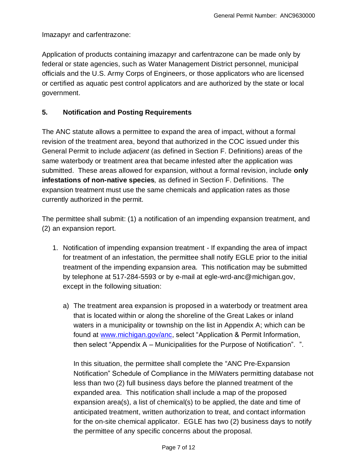Imazapyr and carfentrazone:

Application of products containing imazapyr and carfentrazone can be made only by federal or state agencies, such as Water Management District personnel, municipal officials and the U.S. Army Corps of Engineers, or those applicators who are licensed or certified as aquatic pest control applicators and are authorized by the state or local government.

#### **5. Notification and Posting Requirements**

The ANC statute allows a permittee to expand the area of impact, without a formal revision of the treatment area, beyond that authorized in the COC issued under this General Permit to include *adjacent* (as defined in Section F. Definitions) areas of the same waterbody or treatment area that became infested after the application was submitted. These areas allowed for expansion, without a formal revision, include **only infestations of non-native species***,* as defined in Section F. Definitions. The expansion treatment must use the same chemicals and application rates as those currently authorized in the permit.

The permittee shall submit: (1) a notification of an impending expansion treatment, and (2) an expansion report.

- 1. Notification of impending expansion treatment If expanding the area of impact for treatment of an infestation, the permittee shall notify EGLE prior to the initial treatment of the impending expansion area. This notification may be submitted by telephone at 517-284-5593 or by e-mail at egle-wrd-anc@michigan.gov, except in the following situation:
	- a) The treatment area expansion is proposed in a waterbody or treatment area that is located within or along the shoreline of the Great Lakes or inland waters in a municipality or township on the list in Appendix A; which can be found at [www.michigan.gov/anc,](http://www.michigan.gov/anc) select "Application & Permit Information, then select "Appendix A – Municipalities for the Purpose of Notification". ".

In this situation, the permittee shall complete the "ANC Pre-Expansion Notification" Schedule of Compliance in the MiWaters permitting database not less than two (2) full business days before the planned treatment of the expanded area. This notification shall include a map of the proposed expansion area(s), a list of chemical(s) to be applied, the date and time of anticipated treatment, written authorization to treat, and contact information for the on-site chemical applicator. EGLE has two (2) business days to notify the permittee of any specific concerns about the proposal.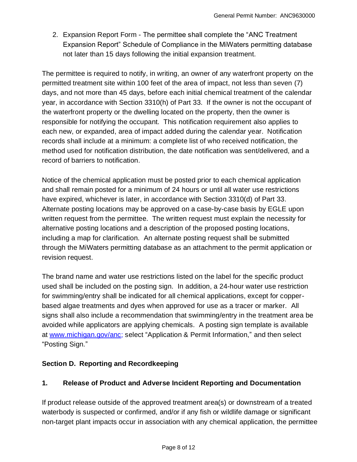2. Expansion Report Form - The permittee shall complete the "ANC Treatment Expansion Report" Schedule of Compliance in the MiWaters permitting database not later than 15 days following the initial expansion treatment.

The permittee is required to notify, in writing, an owner of any waterfront property on the permitted treatment site within 100 feet of the area of impact, not less than seven (7) days, and not more than 45 days, before each initial chemical treatment of the calendar year, in accordance with Section 3310(h) of Part 33. If the owner is not the occupant of the waterfront property or the dwelling located on the property, then the owner is responsible for notifying the occupant. This notification requirement also applies to each new, or expanded, area of impact added during the calendar year. Notification records shall include at a minimum: a complete list of who received notification, the method used for notification distribution, the date notification was sent/delivered, and a record of barriers to notification.

Notice of the chemical application must be posted prior to each chemical application and shall remain posted for a minimum of 24 hours or until all water use restrictions have expired, whichever is later, in accordance with Section 3310(d) of Part 33. Alternate posting locations may be approved on a case-by-case basis by EGLE upon written request from the permittee. The written request must explain the necessity for alternative posting locations and a description of the proposed posting locations, including a map for clarification. An alternate posting request shall be submitted through the MiWaters permitting database as an attachment to the permit application or revision request.

The brand name and water use restrictions listed on the label for the specific product used shall be included on the posting sign. In addition, a 24-hour water use restriction for swimming/entry shall be indicated for all chemical applications, except for copperbased algae treatments and dyes when approved for use as a tracer or marker. All signs shall also include a recommendation that swimming/entry in the treatment area be avoided while applicators are applying chemicals. A posting sign template is available at [www.michigan.gov/anc;](http://www.michigan.gov/anc) select "Application & Permit Information," and then select "Posting Sign."

#### **Section D. Reporting and Recordkeeping**

#### **1. Release of Product and Adverse Incident Reporting and Documentation**

If product release outside of the approved treatment area(s) or downstream of a treated waterbody is suspected or confirmed, and/or if any fish or wildlife damage or significant non-target plant impacts occur in association with any chemical application, the permittee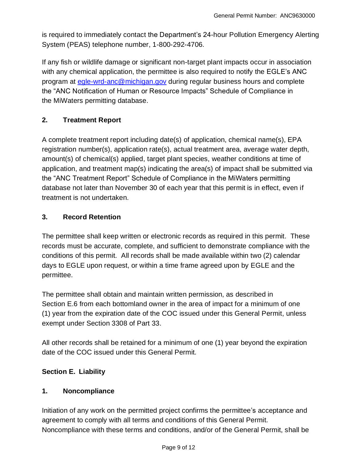is required to immediately contact the Department's 24-hour Pollution Emergency Alerting System (PEAS) telephone number, 1-800-292-4706.

If any fish or wildlife damage or significant non-target plant impacts occur in association with any chemical application, the permittee is also required to notify the EGLE's ANC program at [egle-wrd-anc@michigan.gov](mailto:egle-wrd-anc@michigan.gov) during regular business hours and complete the "ANC Notification of Human or Resource Impacts" Schedule of Compliance in the MiWaters permitting database.

#### **2. Treatment Report**

A complete treatment report including date(s) of application, chemical name(s), EPA registration number(s), application rate(s), actual treatment area, average water depth, amount(s) of chemical(s) applied, target plant species, weather conditions at time of application, and treatment map(s) indicating the area(s) of impact shall be submitted via the "ANC Treatment Report" Schedule of Compliance in the MiWaters permitting database not later than November 30 of each year that this permit is in effect, even if treatment is not undertaken.

#### **3. Record Retention**

The permittee shall keep written or electronic records as required in this permit. These records must be accurate, complete, and sufficient to demonstrate compliance with the conditions of this permit. All records shall be made available within two (2) calendar days to EGLE upon request, or within a time frame agreed upon by EGLE and the permittee.

The permittee shall obtain and maintain written permission, as described in Section E.6 from each bottomland owner in the area of impact for a minimum of one (1) year from the expiration date of the COC issued under this General Permit, unless exempt under Section 3308 of Part 33.

All other records shall be retained for a minimum of one (1) year beyond the expiration date of the COC issued under this General Permit.

#### **Section E. Liability**

#### **1. Noncompliance**

Initiation of any work on the permitted project confirms the permittee's acceptance and agreement to comply with all terms and conditions of this General Permit. Noncompliance with these terms and conditions, and/or of the General Permit, shall be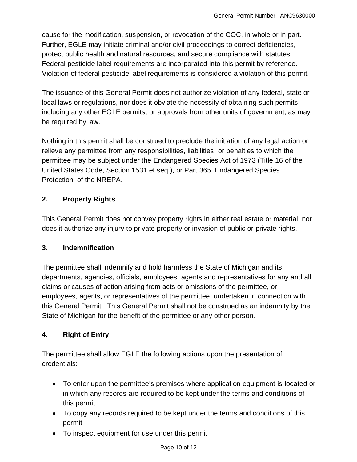cause for the modification, suspension, or revocation of the COC, in whole or in part. Further, EGLE may initiate criminal and/or civil proceedings to correct deficiencies, protect public health and natural resources, and secure compliance with statutes. Federal pesticide label requirements are incorporated into this permit by reference. Violation of federal pesticide label requirements is considered a violation of this permit.

The issuance of this General Permit does not authorize violation of any federal, state or local laws or regulations, nor does it obviate the necessity of obtaining such permits, including any other EGLE permits, or approvals from other units of government, as may be required by law.

Nothing in this permit shall be construed to preclude the initiation of any legal action or relieve any permittee from any responsibilities, liabilities, or penalties to which the permittee may be subject under the Endangered Species Act of 1973 (Title 16 of the United States Code, Section 1531 et seq.), or Part 365, Endangered Species Protection, of the NREPA.

### **2. Property Rights**

This General Permit does not convey property rights in either real estate or material, nor does it authorize any injury to private property or invasion of public or private rights.

#### **3. Indemnification**

The permittee shall indemnify and hold harmless the State of Michigan and its departments, agencies, officials, employees, agents and representatives for any and all claims or causes of action arising from acts or omissions of the permittee, or employees, agents, or representatives of the permittee, undertaken in connection with this General Permit. This General Permit shall not be construed as an indemnity by the State of Michigan for the benefit of the permittee or any other person.

#### **4. Right of Entry**

The permittee shall allow EGLE the following actions upon the presentation of credentials:

- To enter upon the permittee's premises where application equipment is located or in which any records are required to be kept under the terms and conditions of this permit
- To copy any records required to be kept under the terms and conditions of this permit
- To inspect equipment for use under this permit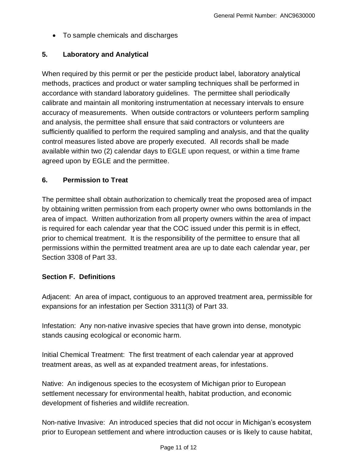• To sample chemicals and discharges

#### **5. Laboratory and Analytical**

When required by this permit or per the pesticide product label, laboratory analytical methods, practices and product or water sampling techniques shall be performed in accordance with standard laboratory guidelines. The permittee shall periodically calibrate and maintain all monitoring instrumentation at necessary intervals to ensure accuracy of measurements. When outside contractors or volunteers perform sampling and analysis, the permittee shall ensure that said contractors or volunteers are sufficiently qualified to perform the required sampling and analysis, and that the quality control measures listed above are properly executed. All records shall be made available within two (2) calendar days to EGLE upon request, or within a time frame agreed upon by EGLE and the permittee.

#### **6. Permission to Treat**

The permittee shall obtain authorization to chemically treat the proposed area of impact by obtaining written permission from each property owner who owns bottomlands in the area of impact. Written authorization from all property owners within the area of impact is required for each calendar year that the COC issued under this permit is in effect, prior to chemical treatment. It is the responsibility of the permittee to ensure that all permissions within the permitted treatment area are up to date each calendar year, per Section 3308 of Part 33.

#### **Section F. Definitions**

Adjacent: An area of impact, contiguous to an approved treatment area, permissible for expansions for an infestation per Section 3311(3) of Part 33.

Infestation: Any non-native invasive species that have grown into dense, monotypic stands causing ecological or economic harm.

Initial Chemical Treatment: The first treatment of each calendar year at approved treatment areas, as well as at expanded treatment areas, for infestations.

Native: An indigenous species to the ecosystem of Michigan prior to European settlement necessary for environmental health, habitat production, and economic development of fisheries and wildlife recreation.

Non-native Invasive: An introduced species that did not occur in Michigan's ecosystem prior to European settlement and where introduction causes or is likely to cause habitat,